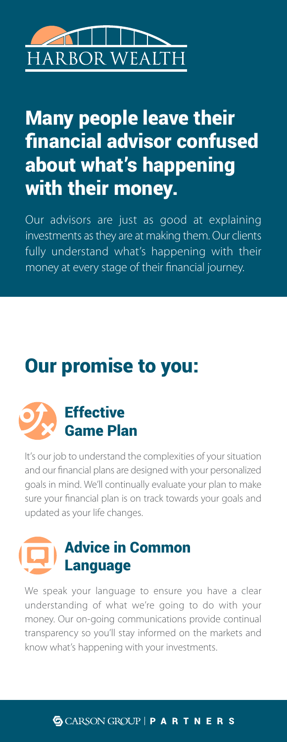# RBOR WEALTH

# Many people leave their financial advisor confused about what's happening with their money.

Our advisors are just as good at explaining investments as they are at making them. Our clients fully understand what's happening with their money at every stage of their financial journey.

## Our promise to you:



It's our job to understand the complexities of your situation and our financial plans are designed with your personalized goals in mind. We'll continually evaluate your plan to make sure your financial plan is on track towards your goals and updated as your life changes.

## Advice in Common Language

We speak your language to ensure you have a clear understanding of what we're going to do with your money. Our on-going communications provide continual transparency so you'll stay informed on the markets and know what's happening with your investments.

## **G** CARSON GROUP | P A R T N E R S